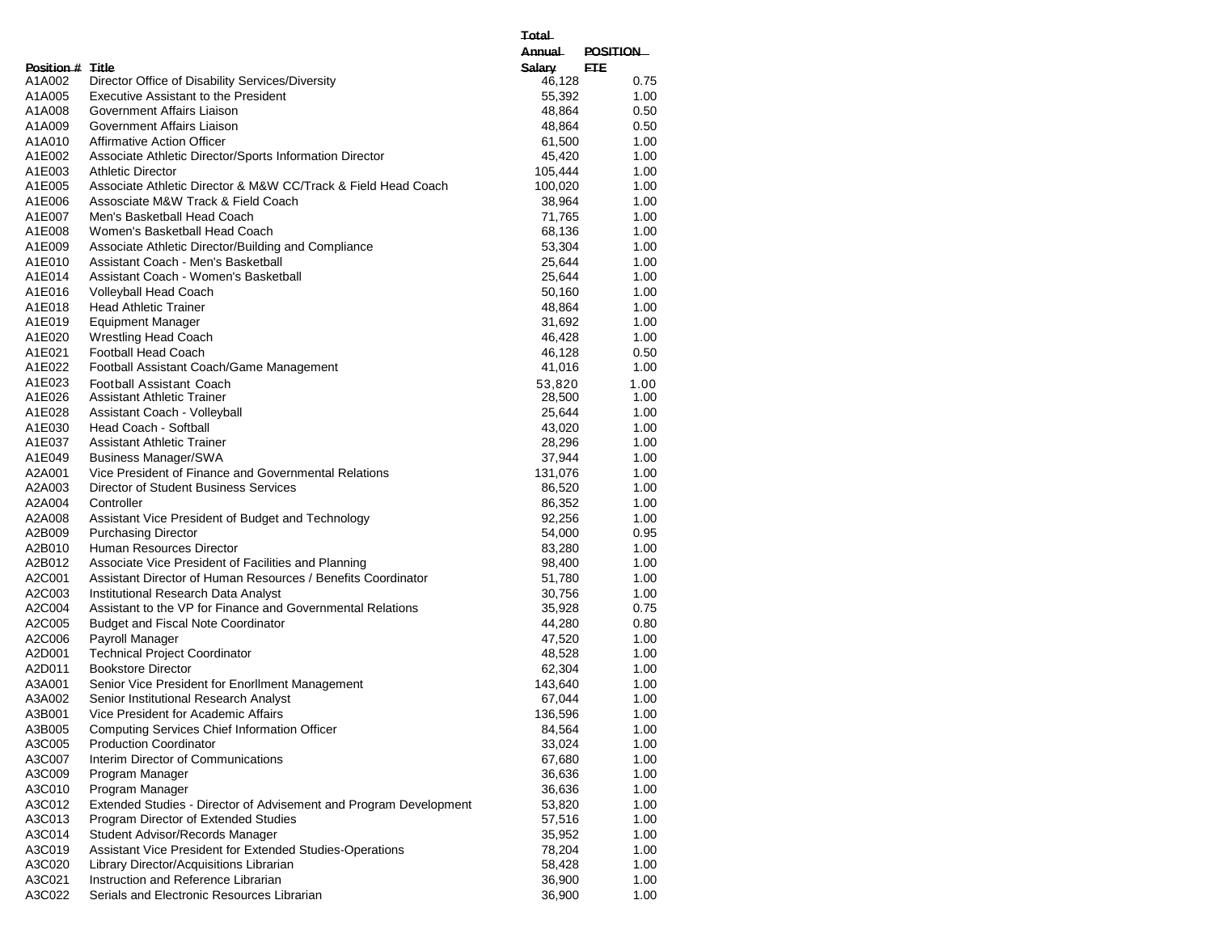|                  |                                                                   | <b>Annual</b> | <b>POSITION</b> |
|------------------|-------------------------------------------------------------------|---------------|-----------------|
| Position # Title |                                                                   | Salary        | <b>ETE</b>      |
| A1A002           | Director Office of Disability Services/Diversity                  | 46,128        | 0.75            |
| A1A005           | <b>Executive Assistant to the President</b>                       | 55,392        | 1.00            |
| A1A008           | Government Affairs Liaison                                        | 48,864        | 0.50            |
| A1A009           | Government Affairs Liaison                                        | 48,864        | 0.50            |
| A1A010           | <b>Affirmative Action Officer</b>                                 | 61,500        | 1.00            |
| A1E002           | Associate Athletic Director/Sports Information Director           | 45,420        | 1.00            |
| A1E003           | <b>Athletic Director</b>                                          | 105,444       | 1.00            |
| A1E005           | Associate Athletic Director & M&W CC/Track & Field Head Coach     | 100,020       | 1.00            |
| A1E006           | Assosciate M&W Track & Field Coach                                | 38,964        | 1.00            |
| A1E007           | Men's Basketball Head Coach                                       | 71,765        | 1.00            |
| A1E008           | Women's Basketball Head Coach                                     | 68,136        | 1.00            |
| A1E009           | Associate Athletic Director/Building and Compliance               | 53,304        | 1.00            |
| A1E010           | Assistant Coach - Men's Basketball                                | 25,644        | 1.00            |
| A1E014           | Assistant Coach - Women's Basketball                              | 25,644        | 1.00            |
| A1E016           | Volleyball Head Coach                                             | 50,160        | 1.00            |
| A1E018           |                                                                   |               |                 |
|                  | <b>Head Athletic Trainer</b>                                      | 48,864        | 1.00            |
| A1E019           | <b>Equipment Manager</b>                                          | 31,692        | 1.00            |
| A1E020           | <b>Wrestling Head Coach</b>                                       | 46,428        | 1.00            |
| A1E021           | Football Head Coach                                               | 46,128        | 0.50            |
| A1E022           | Football Assistant Coach/Game Management                          | 41,016        | 1.00            |
| A1E023           | Football Assistant Coach                                          | 53,820        | 1.00            |
| A1E026           | <b>Assistant Athletic Trainer</b>                                 | 28,500        | 1.00            |
| A1E028           | Assistant Coach - Volleyball                                      | 25,644        | 1.00            |
| A1E030           | Head Coach - Softball                                             | 43,020        | 1.00            |
| A1E037           | <b>Assistant Athletic Trainer</b>                                 | 28,296        | 1.00            |
| A1E049           | <b>Business Manager/SWA</b>                                       | 37,944        | 1.00            |
| A2A001           | Vice President of Finance and Governmental Relations              | 131,076       | 1.00            |
| A2A003           | Director of Student Business Services                             | 86,520        | 1.00            |
| A2A004           | Controller                                                        | 86,352        | 1.00            |
| A2A008           | Assistant Vice President of Budget and Technology                 | 92,256        | 1.00            |
| A2B009           | <b>Purchasing Director</b>                                        | 54,000        | 0.95            |
| A2B010           | Human Resources Director                                          | 83,280        | 1.00            |
| A2B012           | Associate Vice President of Facilities and Planning               | 98,400        | 1.00            |
| A2C001           | Assistant Director of Human Resources / Benefits Coordinator      | 51,780        | 1.00            |
| A2C003           | Institutional Research Data Analyst                               | 30,756        | 1.00            |
| A2C004           | Assistant to the VP for Finance and Governmental Relations        | 35,928        | 0.75            |
| A2C005           | <b>Budget and Fiscal Note Coordinator</b>                         | 44,280        | 0.80            |
| A2C006           | Payroll Manager                                                   | 47,520        | 1.00            |
| A2D001           | <b>Technical Project Coordinator</b>                              | 48,528        | 1.00            |
| A2D011           | <b>Bookstore Director</b>                                         | 62,304        | 1.00            |
| A3A001           | Senior Vice President for EnorlIment Management                   | 143,640       | 1.00            |
| A3A002           | Senior Institutional Research Analyst                             | 67,044        | 1.00            |
| A3B001           | Vice President for Academic Affairs                               | 136,596       | 1.00            |
| A3B005           | <b>Computing Services Chief Information Officer</b>               | 84,564        | 1.00            |
| A3C005           | <b>Production Coordinator</b>                                     | 33,024        | 1.00            |
| A3C007           | Interim Director of Communications                                | 67,680        | 1.00            |
| A3C009           | Program Manager                                                   | 36,636        | 1.00            |
| A3C010           | Program Manager                                                   | 36,636        | 1.00            |
| A3C012           | Extended Studies - Director of Advisement and Program Development | 53,820        | 1.00            |
| A3C013           | Program Director of Extended Studies                              | 57,516        | 1.00            |
| A3C014           | Student Advisor/Records Manager                                   | 35,952        | 1.00            |
| A3C019           | Assistant Vice President for Extended Studies-Operations          | 78,204        | 1.00            |
| A3C020           | Library Director/Acquisitions Librarian                           | 58,428        | 1.00            |
| A3C021           | Instruction and Reference Librarian                               | 36,900        | 1.00            |
| A3C022           | Serials and Electronic Resources Librarian                        | 36,900        | 1.00            |

**Total**